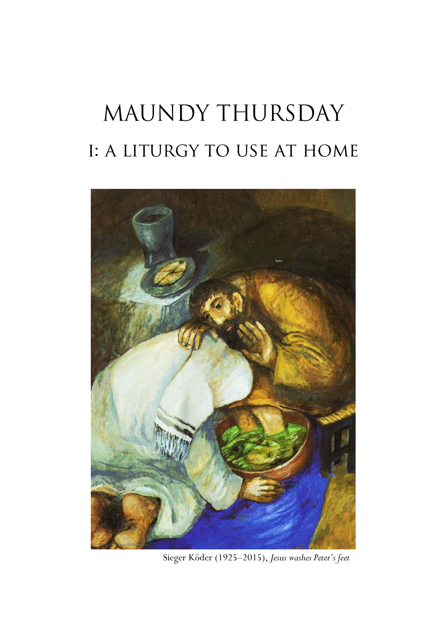# MAUNDY THURSDAY I: A LITURGY TO USE AT HOME



Sieger Köder (1925–2015), *Jesus washes Peter's feet*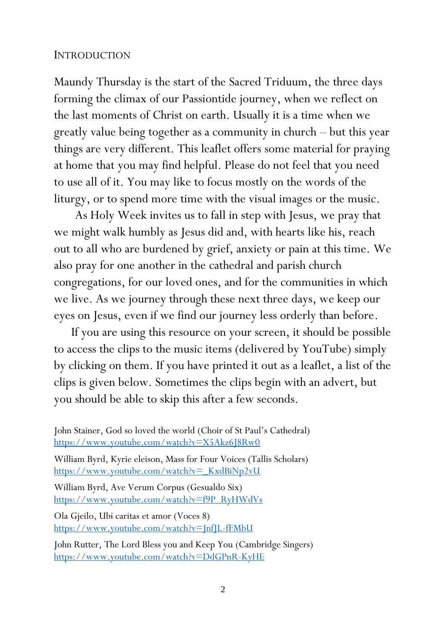#### INTRODUCTION

Maundy Thursday is the start of the Sacred Triduum, the three days forming the climax of our Passiontide journey, when we reflect on the last moments of Christ on earth. Usually it is a time when we greatly value being together as a community in church – but this year things are very different. This leaflet offers some material for praying at home that you may find helpful. Please do not feel that you need to use all of it. You may like to focus mostly on the words of the liturgy, or to spend more time with the visual images or the music.

 As Holy Week invites us to fall in step with Jesus, we pray that we might walk humbly as Jesus did and, with hearts like his, reach out to all who are burdened by grief, anxiety or pain at this time. We also pray for one another in the cathedral and parish church congregations, for our loved ones, and for the communities in which we live. As we journey through these next three days, we keep our eyes on Jesus, even if we find our journey less orderly than before.

If you are using this resource on your screen, it should be possible to access the clips to the music items (delivered by YouTube) simply by clicking on them. If you have printed it out as a leaflet, a list of the clips is given below. Sometimes the clips begin with an advert, but you should be able to skip this after a few seconds.

https://www.youtube.com/watch?v= KxdBiNp2vU

William Byrd, Ave Verum Corpus (Gesualdo Six) [https://www.youtube.com/watch?v=f9P\\_RyHWdVs](https://www.youtube.com/watch?v=f9P_RyHWdVs)

Ola Gjeilo, Ubi caritas et amor (Voces 8) <https://www.youtube.com/watch?v=JnfJL-fFMbU>

John Rutter, The Lord Bless you and Keep You (Cambridge Singers) <https://www.youtube.com/watch?v=DdGPnR-KyHE>

John Stainer, God so loved the world (Choir of St Paul's Cathedral) <https://www.youtube.com/watch?v=X5Akz6J8Rw0> William Byrd, Kyrie eleison, Mass for Four Voices (Tallis Scholars)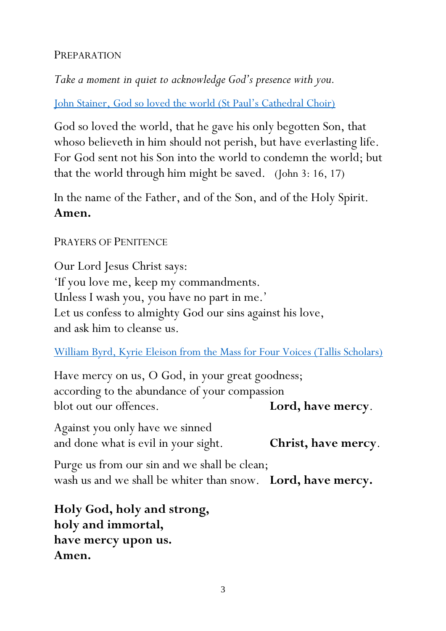### PREPARATION

*Take a moment in quiet to acknowledge God's presence with you.*

[John Stainer, God so loved the world \(St Paul's Cathedral Choir\)](https://www.youtube.com/watch?v=X5Akz6J8Rw0)

God so loved the world, that he gave his only begotten Son, that whoso believeth in him should not perish, but have everlasting life. For God sent not his Son into the world to condemn the world; but that the world through him might be saved. (John 3: 16, 17)

In the name of the Father, and of the Son, and of the Holy Spirit. **Amen.**

### PRAYERS OF PENITENCE

Our Lord Jesus Christ says: 'If you love me, keep my commandments. Unless I wash you, you have no part in me.' Let us confess to almighty God our sins against his love, and ask him to cleanse us.

[William Byrd, Kyrie Eleison from the Mass for Four Voices \(Tallis Scholars\)](https://www.youtube.com/watch?v=_KxdBiNp2vU)

Have mercy on us, O God, in your great goodness; according to the abundance of your compassion blot out our offences. **Lord, have mercy**.

Against you only have we sinned and done what is evil in your sight. **Christ, have mercy**.

Purge us from our sin and we shall be clean; wash us and we shall be whiter than snow. **Lord, have mercy.**

**Holy God, holy and strong, holy and immortal, have mercy upon us. Amen.**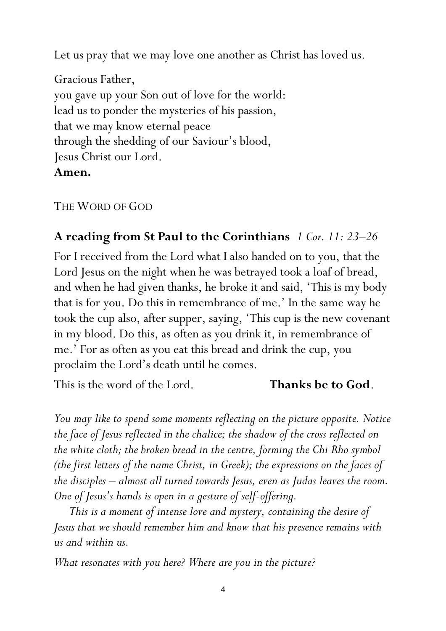Let us pray that we may love one another as Christ has loved us.

Gracious Father, you gave up your Son out of love for the world: lead us to ponder the mysteries of his passion, that we may know eternal peace through the shedding of our Saviour's blood, Jesus Christ our Lord. **Amen.**

### THE WORD OF GOD

# **A reading from St Paul to the Corinthians** *1 Cor. 11: 23–26*

For I received from the Lord what I also handed on to you, that the Lord Jesus on the night when he was betrayed took a loaf of bread, and when he had given thanks, he broke it and said, 'This is my body that is for you. Do this in remembrance of me.' In the same way he took the cup also, after supper, saying, 'This cup is the new covenant in my blood. Do this, as often as you drink it, in remembrance of me.' For as often as you eat this bread and drink the cup, you proclaim the Lord's death until he comes.

This is the word of the Lord. **Thanks be to God**.

*You may like to spend some moments reflecting on the picture opposite. Notice the face of Jesus reflected in the chalice; the shadow of the cross reflected on the white cloth; the broken bread in the centre, forming the Chi Rho symbol (the first letters of the name Christ, in Greek); the expressions on the faces of the disciples – almost all turned towards Jesus, even as Judas leaves the room. One of Jesus's hands is open in a gesture of self-offering.*

*This is a moment of intense love and mystery, containing the desire of Jesus that we should remember him and know that his presence remains with us and within us.*

*What resonates with you here? Where are you in the picture?*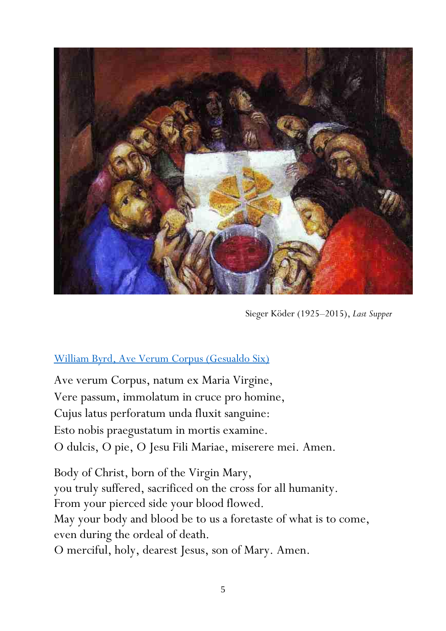

Sieger Köder (1925–2015), *Last Supper*

### [William Byrd, Ave Verum Corpus \(Gesualdo Six\)](https://www.youtube.com/watch?v=f9P_RyHWdVs)

Ave verum Corpus, natum ex Maria Virgine, Vere passum, immolatum in cruce pro homine, Cujus latus perforatum unda fluxit sanguine: Esto nobis praegustatum in mortis examine. O dulcis, O pie, O Jesu Fili Mariae, miserere mei. Amen.

Body of Christ, born of the Virgin Mary, you truly suffered, sacrificed on the cross for all humanity. From your pierced side your blood flowed. May your body and blood be to us a foretaste of what is to come, even during the ordeal of death. O merciful, holy, dearest Jesus, son of Mary. Amen.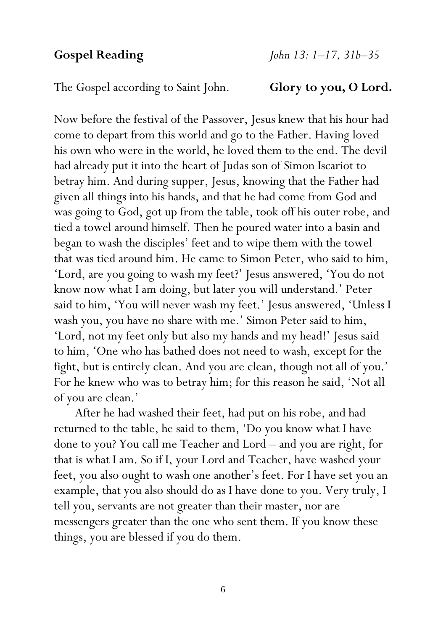The Gospel according to Saint John. **Glory to you, O Lord.**

Now before the festival of the Passover, Jesus knew that his hour had come to depart from this world and go to the Father. Having loved his own who were in the world, he loved them to the end. The devil had already put it into the heart of Judas son of Simon Iscariot to betray him. And during supper, Jesus, knowing that the Father had given all things into his hands, and that he had come from God and was going to God, got up from the table, took off his outer robe, and tied a towel around himself. Then he poured water into a basin and began to wash the disciples' feet and to wipe them with the towel that was tied around him. He came to Simon Peter, who said to him, 'Lord, are you going to wash my feet?' Jesus answered, 'You do not know now what I am doing, but later you will understand.' Peter said to him, 'You will never wash my feet.' Jesus answered, 'Unless I wash you, you have no share with me.' Simon Peter said to him, 'Lord, not my feet only but also my hands and my head!' Jesus said to him, 'One who has bathed does not need to wash, except for the fight, but is entirely clean. And you are clean, though not all of you.' For he knew who was to betray him; for this reason he said, 'Not all of you are clean.'

 After he had washed their feet, had put on his robe, and had returned to the table, he said to them, 'Do you know what I have done to you? You call me Teacher and Lord – and you are right, for that is what I am. So if I, your Lord and Teacher, have washed your feet, you also ought to wash one another's feet. For I have set you an example, that you also should do as I have done to you. Very truly, I tell you, servants are not greater than their master, nor are messengers greater than the one who sent them. If you know these things, you are blessed if you do them.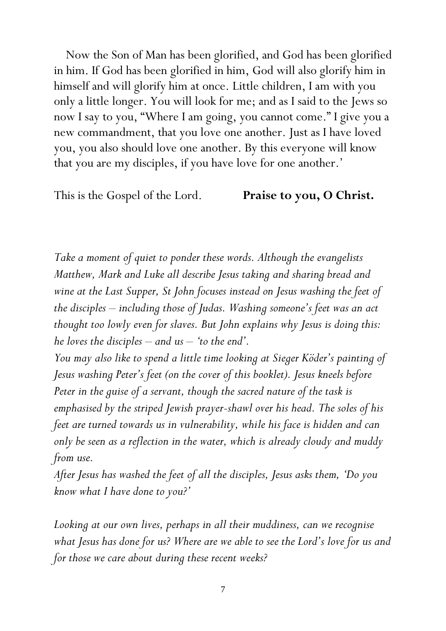Now the Son of Man has been glorified, and God has been glorified in him. If God has been glorified in him, God will also glorify him in himself and will glorify him at once. Little children, I am with you only a little longer. You will look for me; and as I said to the Jews so now I say to you, "Where I am going, you cannot come." I give you a new commandment, that you love one another. Just as I have loved you, you also should love one another. By this everyone will know that you are my disciples, if you have love for one another.'

This is the Gospel of the Lord. **Praise to you, O Christ.**

*Take a moment of quiet to ponder these words. Although the evangelists Matthew, Mark and Luke all describe Jesus taking and sharing bread and wine at the Last Supper, St John focuses instead on Jesus washing the feet of the disciples – including those of Judas. Washing someone's feet was an act thought too lowly even for slaves. But John explains why Jesus is doing this: he loves the disciples – and us – 'to the end'.* 

*You may also like to spend a little time looking at Sieger Köder's painting of Jesus washing Peter's feet (on the cover of this booklet). Jesus kneels before Peter in the guise of a servant, though the sacred nature of the task is emphasised by the striped Jewish prayer-shawl over his head. The soles of his feet are turned towards us in vulnerability, while his face is hidden and can only be seen as a reflection in the water, which is already cloudy and muddy from use.*

*After Jesus has washed the feet of all the disciples, Jesus asks them, 'Do you know what I have done to you?'*

*Looking at our own lives, perhaps in all their muddiness, can we recognise what Jesus has done for us? Where are we able to see the Lord's love for us and for those we care about during these recent weeks?*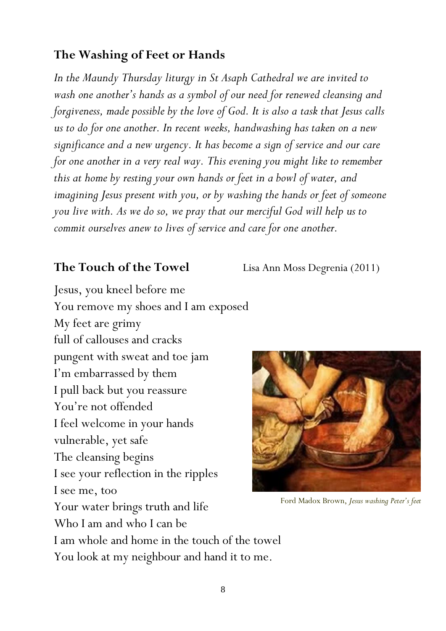# **The Washing of Feet or Hands**

*In the Maundy Thursday liturgy in St Asaph Cathedral we are invited to wash one another's hands as a symbol of our need for renewed cleansing and forgiveness, made possible by the love of God. It is also a task that Jesus calls us to do for one another. In recent weeks, handwashing has taken on a new significance and a new urgency. It has become a sign of service and our care for one another in a very real way. This evening you might like to remember this at home by resting your own hands or feet in a bowl of water, and imagining Jesus present with you, or by washing the hands or feet of someone you live with. As we do so, we pray that our merciful God will help us to commit ourselves anew to lives of service and care for one another.*

#### **The Touch of the Towel** Lisa Ann Moss Degrenia (2011)

Jesus, you kneel before me You remove my shoes and I am exposed My feet are grimy full of callouses and cracks pungent with sweat and toe jam I'm embarrassed by them I pull back but you reassure You're not offended I feel welcome in your hands vulnerable, yet safe The cleansing begins I see your reflection in the ripples I see me, too Your water brings truth and life Who I am and who I can be I am whole and home in the touch of the towel You look at my neighbour and hand it to me.



Ford Madox Brown, *Jesus washing Peter's feet*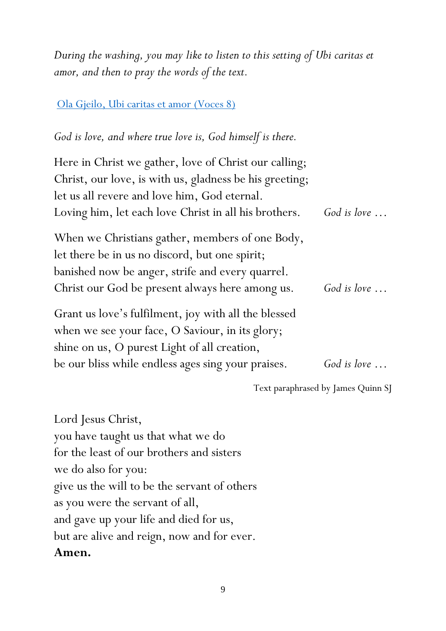*During the washing, you may like to listen to this setting of Ubi caritas et amor, and then to pray the words of the text.*

#### [Ola Gjeilo, Ubi caritas et amor](https://www.youtube.com/watch?v=JnfJL-fFMbU) (Voces 8)

# *God is love, and where true love is, God himself is there.*

| Here in Christ we gather, love of Christ our calling;   |                      |
|---------------------------------------------------------|----------------------|
| Christ, our love, is with us, gladness be his greeting; |                      |
| let us all revere and love him, God eternal.            |                      |
| Loving him, let each love Christ in all his brothers.   | God is love $\ldots$ |
| When we Christians gather, members of one Body,         |                      |
| let there be in us no discord, but one spirit;          |                      |
| banished now be anger, strife and every quarrel.        |                      |
| Christ our God be present always here among us.         | God is love $\ldots$ |
| Grant us love's fulfilment, joy with all the blessed    |                      |
| when we see your face, O Saviour, in its glory;         |                      |
| shine on us, O purest Light of all creation,            |                      |
| be our bliss while endless ages sing your praises.      | God is love $\ldots$ |

Text paraphrased by James Quinn SJ

Lord Jesus Christ, you have taught us that what we do for the least of our brothers and sisters we do also for you: give us the will to be the servant of others as you were the servant of all, and gave up your life and died for us, but are alive and reign, now and for ever. **Amen.**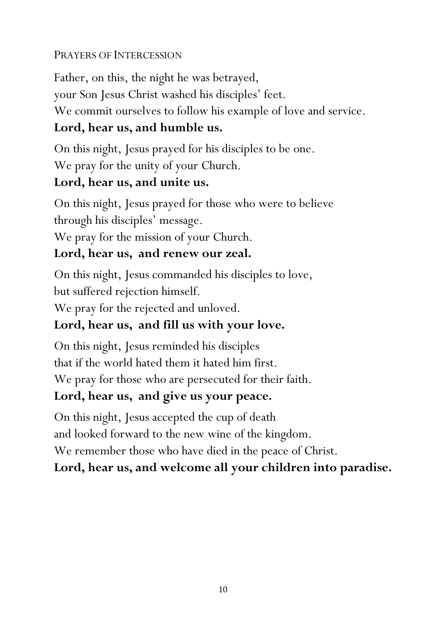# PRAYERS OF INTERCESSION

Father, on this, the night he was betrayed, your Son Jesus Christ washed his disciples' feet. We commit ourselves to follow his example of love and service.

# **Lord, hear us, and humble us.**

On this night, Jesus prayed for his disciples to be one. We pray for the unity of your Church.

# **Lord, hear us, and unite us.**

On this night, Jesus prayed for those who were to believe through his disciples' message.

We pray for the mission of your Church.

# **Lord, hear us, and renew our zeal.**

On this night, Jesus commanded his disciples to love, but suffered rejection himself.

We pray for the rejected and unloved.

# **Lord, hear us, and fill us with your love.**

On this night, Jesus reminded his disciples that if the world hated them it hated him first. We pray for those who are persecuted for their faith.

# **Lord, hear us, and give us your peace.**

On this night, Jesus accepted the cup of death and looked forward to the new wine of the kingdom. We remember those who have died in the peace of Christ. **Lord, hear us, and welcome all your children into paradise.**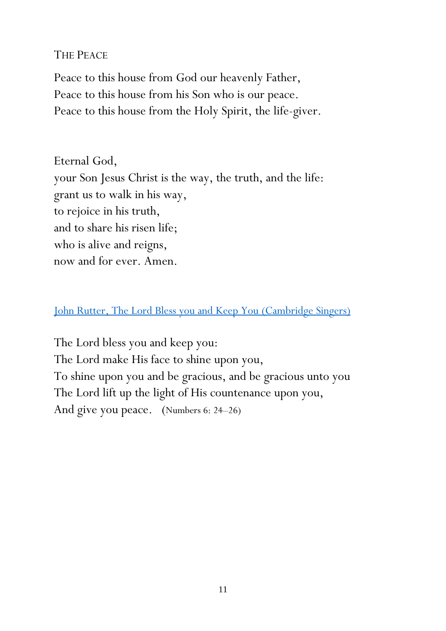### THE PEACE

Peace to this house from God our heavenly Father, Peace to this house from his Son who is our peace. Peace to this house from the Holy Spirit, the life-giver.

Eternal God, your Son Jesus Christ is the way, the truth, and the life: grant us to walk in his way, to rejoice in his truth, and to share his risen life; who is alive and reigns, now and for ever. Amen.

### [John Rutter, The Lord Bless you and Keep You](https://www.youtube.com/watch?v=DdGPnR-KyHE) (Cambridge Singers)

The Lord bless you and keep you: The Lord make His face to shine upon you, To shine upon you and be gracious, and be gracious unto you The Lord lift up the light of His countenance upon you, And give you peace. (Numbers 6: 24–26)